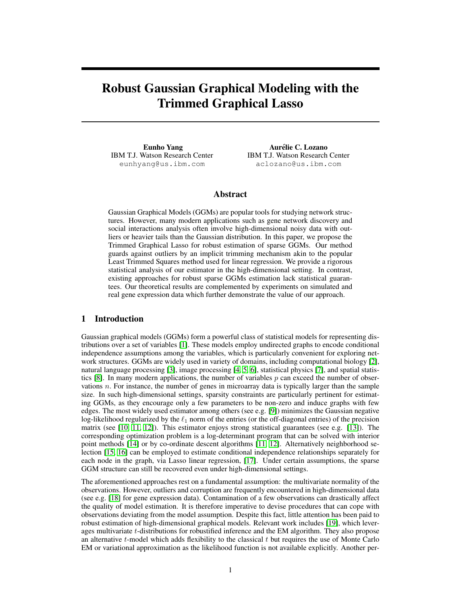# Robust Gaussian Graphical Modeling with the Trimmed Graphical Lasso

Eunho Yang IBM T.J. Watson Research Center eunhyang@us.ibm.com

Aurélie C. Lozano IBM T.J. Watson Research Center aclozano@us.ibm.com

# Abstract

Gaussian Graphical Models (GGMs) are popular tools for studying network structures. However, many modern applications such as gene network discovery and social interactions analysis often involve high-dimensional noisy data with outliers or heavier tails than the Gaussian distribution. In this paper, we propose the Trimmed Graphical Lasso for robust estimation of sparse GGMs. Our method guards against outliers by an implicit trimming mechanism akin to the popular Least Trimmed Squares method used for linear regression. We provide a rigorous statistical analysis of our estimator in the high-dimensional setting. In contrast, existing approaches for robust sparse GGMs estimation lack statistical guarantees. Our theoretical results are complemented by experiments on simulated and real gene expression data which further demonstrate the value of our approach.

# 1 Introduction

Gaussian graphical models (GGMs) form a powerful class of statistical models for representing distributions over a set of variables [1]. These models employ undirected graphs to encode conditional independence assumptions among the variables, which is particularly convenient for exploring network structures. GGMs are widely used in variety of domains, including computational biology [2], natural language processing [3], image processing [4, 5, 6], statistical physics [7], and spatial statistics [8]. In many modern applications, the number of variables  $p$  can exceed the number of observations  $n$ . For instance, the number of genes in microarray data is typically larger than the sample size. In such high-dimensional settings, sparsity constraints are particularly pertinent for estimating GGMs, as they encourage only a few parameters to be non-zero and induce graphs with few edges. The most widely used estimator among others (see e.g. [9]) minimizes the Gaussian negative log-likelihood regularized by the  $\ell_1$  norm of the entries (or the off-diagonal entries) of the precision matrix (see [10, 11, 12]). This estimator enjoys strong statistical guarantees (see e.g. [13]). The corresponding optimization problem is a log-determinant program that can be solved with interior point methods [14] or by co-ordinate descent algorithms [11, 12]. Alternatively neighborhood selection [15, 16] can be employed to estimate conditional independence relationships separately for each node in the graph, via Lasso linear regression, [17]. Under certain assumptions, the sparse GGM structure can still be recovered even under high-dimensional settings.

The aforementioned approaches rest on a fundamental assumption: the multivariate normality of the observations. However, outliers and corruption are frequently encountered in high-dimensional data (see e.g. [18] for gene expression data). Contamination of a few observations can drastically affect the quality of model estimation. It is therefore imperative to devise procedures that can cope with observations deviating from the model assumption. Despite this fact, little attention has been paid to robust estimation of high-dimensional graphical models. Relevant work includes [19], which leverages multivariate t-distributions for robustified inference and the EM algorithm. They also propose an alternative  $t$ -model which adds flexibility to the classical  $t$  but requires the use of Monte Carlo EM or variational approximation as the likelihood function is not available explicitly. Another per-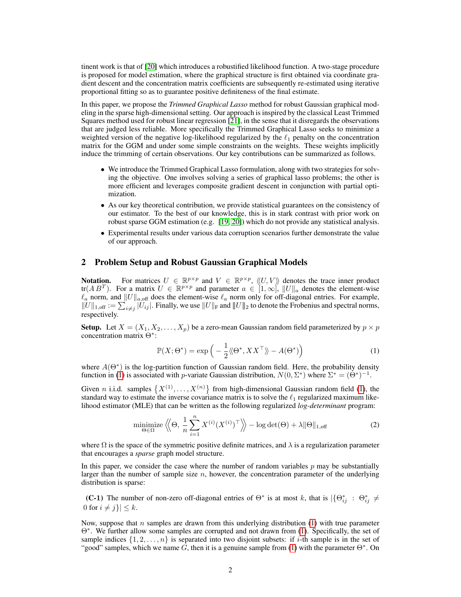tinent work is that of [20] which introduces a robustified likelihood function. A two-stage procedure is proposed for model estimation, where the graphical structure is first obtained via coordinate gradient descent and the concentration matrix coefficients are subsequently re-estimated using iterative proportional fitting so as to guarantee positive definiteness of the final estimate.

In this paper, we propose the *Trimmed Graphical Lasso* method for robust Gaussian graphical modeling in the sparse high-dimensional setting. Our approach is inspired by the classical Least Trimmed Squares method used for robust linear regression [21], in the sense that it disregards the observations that are judged less reliable. More specifically the Trimmed Graphical Lasso seeks to minimize a weighted version of the negative log-likelihood regularized by the  $\ell_1$  penalty on the concentration matrix for the GGM and under some simple constraints on the weights. These weights implicitly induce the trimming of certain observations. Our key contributions can be summarized as follows.

- We introduce the Trimmed Graphical Lasso formulation, along with two strategies for solving the objective. One involves solving a series of graphical lasso problems; the other is more efficient and leverages composite gradient descent in conjunction with partial optimization.
- As our key theoretical contribution, we provide statistical guarantees on the consistency of our estimator. To the best of our knowledge, this is in stark contrast with prior work on robust sparse GGM estimation (e.g. [19, 20]) which do not provide any statistical analysis.
- Experimental results under various data corruption scenarios further demonstrate the value of our approach.

## 2 Problem Setup and Robust Gaussian Graphical Models

**Notation.** For matrices  $U \in \mathbb{R}^{p \times p}$  and  $V \in \mathbb{R}^{p \times p}$ ,  $\langle U, V \rangle$  denotes the trace inner product tr( $AB^T$ ). For a matrix  $U \in \mathbb{R}^{p \times p}$  and parameter  $a \in [1,\infty]$ ,  $||U||_a$  denotes the element-wise  $\ell_a$  norm, and  $||U||_{a,\text{off}}$  does the element-wise  $\ell_a$  norm only for off-diagonal entries. For example,  $||U||_{1,\text{off}} := \sum_{i \neq j} |U_{ij}|$ . Finally, we use  $||U||_F$  and  $||U||_2$  to denote the Frobenius and spectral norms, respectively.

**Setup.** Let  $X = (X_1, X_2, \dots, X_p)$  be a zero-mean Gaussian random field parameterized by  $p \times p$ concentration matrix Θ<sup>∗</sup> :

$$
\mathbb{P}(X; \Theta^*) = \exp\left(-\frac{1}{2}\langle \Theta^*, XX^\top \rangle - A(\Theta^*)\right) \tag{1}
$$

where  $A(\Theta^*)$  is the log-partition function of Gaussian random field. Here, the probability density function in (1) is associated with *p*-variate Gaussian distribution,  $N(0, \Sigma^*)$  where  $\Sigma^* = (\Theta^*)^{-1}$ .

Given *n* i.i.d. samples  $\{X^{(1)},...,X^{(n)}\}$  from high-dimensional Gaussian random field (1), the standard way to estimate the inverse covariance matrix is to solve the  $\ell_1$  regularized maximum likelihood estimator (MLE) that can be written as the following regularized *log-determinant* program:

$$
\underset{\Theta \in \Omega}{\text{minimize}} \left\langle \!\! \left\langle \Theta, \frac{1}{n} \sum_{i=1}^{n} X^{(i)} (X^{(i)})^\top \right\rangle \!\! \right\rangle - \log \det(\Theta) + \lambda \|\Theta\|_{1,\text{off}} \tag{2}
$$

where  $\Omega$  is the space of the symmetric positive definite matrices, and  $\lambda$  is a regularization parameter that encourages a *sparse* graph model structure.

In this paper, we consider the case where the number of random variables  $p$  may be substantially larger than the number of sample size  $n$ , however, the concentration parameter of the underlying distribution is sparse:

**(C-1)** The number of non-zero off-diagonal entries of  $\Theta^*$  is at most k, that is  $\{\Theta_{ij}^* : \Theta_{ij}^* \neq \emptyset\}$ 0 for  $i \neq j$   $| \leq k$ .

Now, suppose that n samples are drawn from this underlying distribution  $(1)$  with true parameter Θ<sup>∗</sup> . We further allow some samples are corrupted and not drawn from (1). Specifically, the set of sample indices  $\{1, 2, \ldots, n\}$  is separated into two disjoint subsets: if *i*-th sample is in the set of "good" samples, which we name  $\hat{G}$ , then it is a genuine sample from (1) with the parameter  $\Theta^*$ . On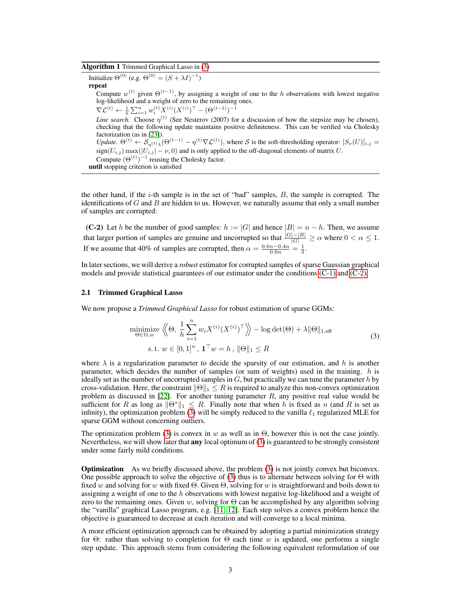# Algorithm 1 Trimmed Graphical Lasso in (3)

Initialize  $\Theta^{(0)}$  (e.g.  $\Theta^{(0)} = (S + \lambda I)^{-1}$ ) repeat Compute  $w^{(t)}$  given  $\Theta^{(t-1)}$ , by assigning a weight of one to the h observations with lowest negative log-likelihood and a weight of zero to the remaining ones.  $\nabla \mathcal{L}^{(t)} \leftarrow \frac{1}{h} \sum_{i=1}^n w_i^{(t)} X^{(i)} (X^{(i)})^\top - (\Theta^{(t-1)})^{-1}$ *Line search.* Choose  $\eta^{(t)}$  (See Nesterov (2007) for a discussion of how the stepsize may be chosen), checking that the following update maintains positive definiteness. This can be verified via Cholesky factorization (as in [23]). *Update.*  $\Theta^{(t)} \leftarrow \mathcal{S}_{\eta^{(t)} \lambda}(\Theta^{(t-1)} - \eta^{(t)} \nabla \mathcal{L}^{(t)})$ , where S is the soft-thresholding operator:  $[S_{\nu}(U)]_{i,j} =$  $sign(U_{i,j})$  max $(|U_{i,j}| - \nu, 0)$  and is only applied to the off-diagonal elements of matrix U. Compute  $(\Theta^{(t)})^{-1}$  reusing the Cholesky factor. until stopping criterion is satisfied

the other hand, if the  $i$ -th sample is in the set of "bad" samples,  $B$ , the sample is corrupted. The identifications of  $G$  and  $B$  are hidden to us. However, we naturally assume that only a small number of samples are corrupted:

(C-2) Let h be the number of good samples:  $h := |G|$  and hence  $|B| = n - h$ . Then, we assume that larger portion of samples are genuine and uncorrupted so that  $\frac{|G|-|B|}{|G|} \ge \alpha$  where  $0 < \alpha \le 1$ . If we assume that 40% of samples are corrupted, then  $\alpha = \frac{0.6n - 0.4n}{0.6n} = \frac{1}{3}$ .

In later sections, we will derive a *robust* estimator for corrupted samples of sparse Gaussian graphical models and provide statistical guarantees of our estimator under the conditions (C-1) and (C-2).

#### 2.1 Trimmed Graphical Lasso

We now propose a *Trimmed Graphical Lasso* for robust estimation of sparse GGMs:

$$
\underset{\Theta \in \Omega, w}{\text{minimize}} \left\langle \Theta, \frac{1}{h} \sum_{i=1}^{n} w_i X^{(i)} (X^{(i)})^\top \right\rangle - \log \det(\Theta) + \lambda \|\Theta\|_{1, \text{off}} \text{s.t. } w \in [0, 1]^n, \mathbf{1}^\top w = h, \|\Theta\|_1 \le R
$$
\n(3)

where  $\lambda$  is a regularization parameter to decide the sparsity of our estimation, and h is another parameter, which decides the number of samples (or sum of weights) used in the training.  $h$  is ideally set as the number of uncorrupted samples in  $G$ , but practically we can tune the parameter h by cross-validation. Here, the constraint  $\|\Theta\|_1 \leq R$  is required to analyze this non-convex optimization problem as discussed in  $[22]$ . For another tuning parameter  $R$ , any positive real value would be sufficient for R as long as  $\|\Theta^*\|_1 \leq R$ . Finally note that when h is fixed as n (and R is set as infinity), the optimization problem (3) will be simply reduced to the vanilla  $\ell_1$  regularized MLE for sparse GGM without concerning outliers.

The optimization problem (3) is convex in w as well as in  $\Theta$ , however this is not the case jointly. Nevertheless, we will show later that **any** local optimum of  $(3)$  is guaranteed to be strongly consistent under some fairly mild conditions.

**Optimization** As we briefly discussed above, the problem (3) is not jointly convex but biconvex. One possible approach to solve the objective of (3) thus is to alternate between solving for  $\Theta$  with fixed w and solving for w with fixed Θ. Given Θ, solving for w is straightforward and boils down to assigning a weight of one to the  $h$  observations with lowest negative log-likelihood and a weight of zero to the remaining ones. Given w, solving for  $\Theta$  can be accomplished by any algorithm solving the "vanilla" graphical Lasso program, e.g. [11, 12]. Each step solves a convex problem hence the objective is guaranteed to decrease at each iteration and will converge to a local minima.

A more efficient optimization approach can be obtained by adopting a partial minimization strategy for Θ: rather than solving to completion for Θ each time w is updated, one performs a single step update. This approach stems from considering the following equivalent reformulation of our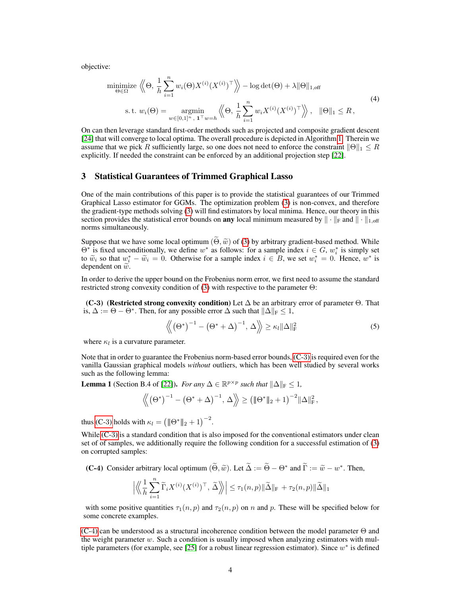objective:

$$
\underset{\Theta \in \Omega}{\text{minimize}} \left\langle \Theta, \frac{1}{h} \sum_{i=1}^{n} w_i(\Theta) X^{(i)} (X^{(i)})^\top \right\rangle - \log \det(\Theta) + \lambda \|\Theta\|_{1, \text{off}}
$$
\n
$$
\text{s.t. } w_i(\Theta) = \underset{w \in [0, 1]^n, \ \mathbf{1}^\top w = h}{\text{argmin}} \left\langle \Theta, \frac{1}{h} \sum_{i=1}^{n} w_i X^{(i)} (X^{(i)})^\top \right\rangle, \ \ \|\Theta\|_1 \leq R,
$$
\n
$$
(4)
$$

On can then leverage standard first-order methods such as projected and composite gradient descent [24] that will converge to local optima. The overall procedure is depicted in Algorithm 1. Therein we assume that we pick R sufficiently large, so one does not need to enforce the constraint  $||\Theta||_1 \leq R$ explicitly. If needed the constraint can be enforced by an additional projection step [22].

#### 3 Statistical Guarantees of Trimmed Graphical Lasso

One of the main contributions of this paper is to provide the statistical guarantees of our Trimmed Graphical Lasso estimator for GGMs. The optimization problem (3) is non-convex, and therefore the gradient-type methods solving (3) will find estimators by local minima. Hence, our theory in this section provides the statistical error bounds on **any** local minimum measured by  $\|\cdot\|_F$  and  $\|\cdot\|_{1,off}$ norms simultaneously.

Suppose that we have some local optimum  $(\Theta, \tilde{w})$  of (3) by arbitrary gradient-based method. While  $\Theta^*$  is fixed unconditionally, we define  $w^*$  as follows: for a sample index  $i \in G$ ,  $w_i^*$  is simply set to  $\widetilde{w}_i$  so that  $w_i^* - \widetilde{w}_i = 0$ . Otherwise for a sample index  $i \in B$ , we set  $w_i^* = 0$ . Hence,  $w^*$  is dependent on  $\widetilde{w}$ dependent on  $\tilde{w}$ .

In order to derive the upper bound on the Frobenius norm error, we first need to assume the standard restricted strong convexity condition of (3) with respective to the parameter  $\Theta$ :

(C-3) (Restricted strong convexity condition) Let  $\Delta$  be an arbitrary error of parameter  $\Theta$ . That is,  $\Delta := \Theta - \Theta^*$ . Then, for any possible error  $\Delta$  such that  $\|\Delta\|_F \leq 1$ ,

$$
\langle \! \langle \left(\Theta^*\right)^{-1} - \left(\Theta^* + \Delta\right)^{-1}, \Delta \rangle \! \rangle \ge \kappa_l \| \Delta \|_{\mathrm{F}}^2 \tag{5}
$$

where  $\kappa_l$  is a curvature parameter.

Note that in order to guarantee the Frobenius norm-based error bounds, (C-3) is required even for the vanilla Gaussian graphical models *without* outliers, which has been well studied by several works such as the following lemma:

**Lemma 1** (Section B.4 of [22]). *For any*  $\Delta \in \mathbb{R}^{p \times p}$  *such that*  $\|\Delta\|_F \leq 1$ *,* 

$$
\left\langle \!\! \left(\Theta^*\right)^{-1}-\left(\Theta^*+\Delta\right)^{-1}\!,\,\Delta \right\rangle \!\! \left.\geq \left(\|\! \left(\Theta^*\|\! \right|_2+1\right)^{-2}\|\Delta\|^2_F\!,\right.
$$

thus (C-3) holds with  $\kappa_l = (\|\Theta^*\|_2 + 1)^{-2}$ .

While (C-3) is a standard condition that is also imposed for the conventional estimators under clean set of of samples, we additionally require the following condition for a successful estimation of (3) on corrupted samples:

(C-4) Consider arbitrary local optimum  $(\tilde{\Theta}, \tilde{w})$ . Let  $\tilde{\Delta} := \tilde{\Theta} - \Theta^*$  and  $\tilde{\Gamma} := \tilde{w} - w^*$ . Then,

$$
\Big|\Big\langle\!\Big\langle \frac{1}{h}\sum_{i=1}^n \widetilde\Gamma_i X^{(i)}(X^{(i)})^\top,\, \widetilde\Delta \Big\rangle\!\Big\rangle\Big| \leq \tau_1(n,p) \|\widetilde\Delta\|_\mathrm{F} + \tau_2(n,p) \|\widetilde\Delta\|_1
$$

with some positive quantities  $\tau_1(n, p)$  and  $\tau_2(n, p)$  on n and p. These will be specified below for some concrete examples.

(C-4) can be understood as a structural incoherence condition between the model parameter Θ and the weight parameter  $w$ . Such a condition is usually imposed when analyzing estimators with multiple parameters (for example, see [25] for a robust linear regression estimator). Since  $w^*$  is defined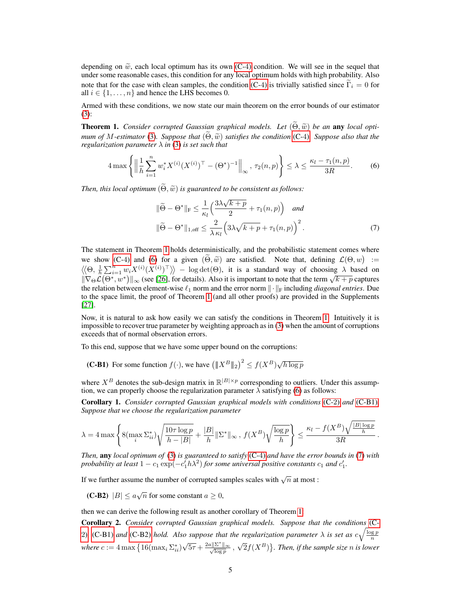depending on  $\tilde{w}$ , each local optimum has its own (C-4) condition. We will see in the sequel that under some reasonable cases, this condition for any local optimum holds with high probability. Also note that for the case with clean samples, the condition (C-4) is trivially satisfied since  $\tilde{\Gamma}_i = 0$  for all  $i \in \{1, \ldots, n\}$  and hence the LHS becomes 0.

Armed with these conditions, we now state our main theorem on the error bounds of our estimator (3):

**Theorem 1.** *Consider corrupted Gaussian graphical models. Let*  $(\tilde{\Theta}, \tilde{w})$  *be an* any *local optimum of M-estimator* (3)*. Suppose that*  $(\Theta, \tilde{w})$  *satisfies the condition* (C-4)*. Suppose also that the regularization parameter* λ *in* (3) *is set such that*

$$
4\max\left\{ \left\| \frac{1}{h} \sum_{i=1}^{n} w_i^* X^{(i)} (X^{(i)})^\top - (\Theta^*)^{-1} \right\|_{\infty}, \tau_2(n, p) \right\} \le \lambda \le \frac{\kappa_l - \tau_1(n, p)}{3R}.
$$
 (6)

*Then, this local optimum*  $(\widetilde{\Theta}, \widetilde{\omega})$  *is guaranteed to be consistent as follows:* 

$$
\|\widetilde{\Theta} - \Theta^*\|_{\mathrm{F}} \le \frac{1}{\kappa_l} \left( \frac{3\lambda\sqrt{k+p}}{2} + \tau_1(n, p) \right) \quad \text{and}
$$

$$
\|\widetilde{\Theta} - \Theta^*\|_{1, \text{off}} \le \frac{2}{\lambda \kappa_l} \left( 3\lambda\sqrt{k+p} + \tau_1(n, p) \right)^2. \tag{7}
$$

The statement in Theorem 1 holds deterministically, and the probabilistic statement comes where we show (C-4) and (6) for a given  $(\Theta, \tilde{w})$  are satisfied. Note that, defining  $\mathcal{L}(\Theta, w) :=$ <br> $\mathcal{L}(\Theta, 1, \sum_{i=1}^{n} w_i X^{(i)} (X^{(i)})^{\top}$  $\langle\!\langle \Theta, \frac{1}{h} \sum_{i=1}^n w_i X^{(i)} (X^{(i)})^\top \rangle\!\rangle - \log \det(\Theta)$ , it is a standard way of choosing  $\lambda$  based on  $\|\nabla_{\Theta}\mathcal{L}(\Theta^*, w^*)\|_{\infty}$  (see [26], for details). Also it is important to note that the term  $\sqrt{k+p}$  captures the relation between element-wise  $\ell_1$  norm and the error norm  $\|\cdot\|_F$  including *diagonal entries*. Due to the space limit, the proof of Theorem 1 (and all other proofs) are provided in the Supplements [27].

Now, it is natural to ask how easily we can satisfy the conditions in Theorem 1. Intuitively it is impossible to recover true parameter by weighting approach as in (3) when the amount of corruptions exceeds that of normal observation errors.

To this end, suppose that we have some upper bound on the corruptions:

**(C-B1)** For some function  $f(\cdot)$ , we have  $\left( \|X^B\|_2 \right)^2 \le f(X^B) \sqrt{h \log p}$ 

where  $X^B$  denotes the sub-design matrix in  $\mathbb{R}^{|B| \times p}$  corresponding to outliers. Under this assumption, we can properly choose the regularization parameter  $\lambda$  satisfying (6) as follows:

Corollary 1. *Consider corrupted Gaussian graphical models with conditions* (C-2) *and* (C-B1)*. Suppose that we choose the regularization parameter*

$$
\lambda = 4\max\left\{8(\max_i \Sigma_{ii}^*)\sqrt{\frac{10\tau\log p}{h-|B|}} + \frac{|B|}{h}\|\Sigma^*\|_\infty\,,\, f(X^B)\sqrt{\frac{\log p}{h}}\right\} \leq \frac{\kappa_l - f(X^B)\sqrt{\frac{|B|\log p}{h}}}{3R}\,.
$$

*Then,* any *local optimum of* (3) *is guaranteed to satisfy* (C-4) *and have the error bounds in* (7) *with probability at least*  $1 - c_1 \exp(-c_1^7 h\lambda^2)$  *for some universal positive constants*  $c_1$  *and*  $c_1^{\prime}$ *.* 

If we further assume the number of corrupted samples scales with  $\sqrt{n}$  at most :

(**C-B2**)  $|B| \le a\sqrt{n}$  for some constant  $a \ge 0$ ,

then we can derive the following result as another corollary of Theorem 1:

Corollary 2. *Consider corrupted Gaussian graphical models. Suppose that the conditions* (C-2), (C-B1) and (C-B2) hold. Also suppose that the regularization parameter  $\lambda$  is set as  $c\sqrt{\frac{\log p}{n}}$ *where*  $c := 4 \max \left\{ 16 (\max_i \Sigma_{ii}^*) \right\}$ √  $\overline{5\tau} + \frac{2a\|\Sigma^*\|_{\infty}}{\sqrt{\log n}}$  $\frac{\sum ||\infty}{\log p}$ ,  $\sqrt{2}f(X^B)$ . Then, if the sample size n is lower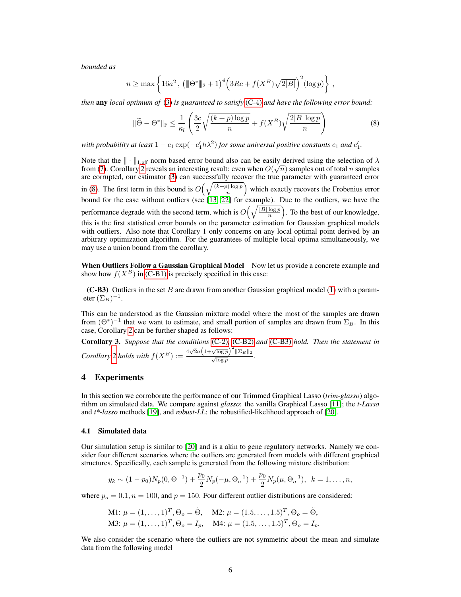*bounded as*

$$
n \ge \max \left\{ 16a^2 , \left( \|\Theta^*\|_2 + 1 \right)^4 \left( 3Rc + f(X^B) \sqrt{2|B|} \right)^2 (\log p) \right\} ,
$$

*then* any *local optimum of* (3) *is guaranteed to satisfy* (C-4) *and have the following error bound:*

$$
\|\widetilde{\Theta} - \Theta^*\|_{\mathrm{F}} \le \frac{1}{\kappa_l} \left( \frac{3c}{2} \sqrt{\frac{(k+p)\log p}{n}} + f(X^B) \sqrt{\frac{2|B|\log p}{n}} \right) \tag{8}
$$

*with probability at least*  $1 - c_1 \exp(-c_1^{\prime} h \lambda^2)$  *for some universal positive constants*  $c_1$  *and*  $c_1^{\prime}$ *.* 

Note that the  $\|\cdot\|_{1,\text{off}}$  norm based error bound also can be easily derived using the selection of  $\lambda$ from (7). Corollary 2 reveals an interesting result: even when  $O(\sqrt{n})$  samples out of total n samples are corrupted, our estimator (3) can successfully recover the true parameter with guaranteed error in (8). The first term in this bound is  $O\left(\sqrt{\frac{(k+p)\log p}{n}}\right)$  $\frac{p(\log p)}{n}$  which exactly recovers the Frobenius error bound for the case without outliers (see [13, 22] for example). Due to the outliers, we have the performance degrade with the second term, which is  $O\left(\sqrt{\frac{|B|\log p}{n}}\right)$  $\frac{\log p}{n}$ ). To the best of our knowledge, this is the first statistical error bounds on the parameter estimation for Gaussian graphical models with outliers. Also note that Corollary 1 only concerns on any local optimal point derived by an arbitrary optimization algorithm. For the guarantees of multiple local optima simultaneously, we may use a union bound from the corollary.

When Outliers Follow a Gaussian Graphical Model Now let us provide a concrete example and show how  $f(X^B)$  in (C-B1) is precisely specified in this case:

(C-B3) Outliers in the set B are drawn from another Gaussian graphical model (1) with a parameter  $(\Sigma_B)^{-1}$ .

This can be understood as the Gaussian mixture model where the most of the samples are drawn from  $(\Theta^*)^{-1}$  that we want to estimate, and small portion of samples are drawn from  $\Sigma_B$ . In this case, Corollary 2 can be further shaped as follows:

Corollary 3. *Suppose that the conditions* (C-2)*,* (C-B2) *and* (C-B3) *hold. Then the statement in Corollary* 2 *holds with*  $f(X^B) := \frac{4\sqrt{2}a(1+\sqrt{\log p})^2 \|\Sigma_B\|_2}{\sqrt{\log p}}$ .

### 4 Experiments

In this section we corroborate the performance of our Trimmed Graphical Lasso (*trim-glasso*) algorithm on simulated data. We compare against *glasso*: the vanilla Graphical Lasso [11]; the *t-Lasso* and *t\*-lasso* methods [19], and *robust-LL*: the robustified-likelihood approach of [20].

#### 4.1 Simulated data

Our simulation setup is similar to [20] and is a akin to gene regulatory networks. Namely we consider four different scenarios where the outliers are generated from models with different graphical structures. Specifically, each sample is generated from the following mixture distribution:

$$
y_k \sim (1 - p_0)N_p(0, \Theta^{-1}) + \frac{p_0}{2}N_p(-\mu, \Theta_o^{-1}) + \frac{p_0}{2}N_p(\mu, \Theta_o^{-1}), \ \ k = 1, \dots, n,
$$

where  $p_o = 0.1$ ,  $n = 100$ , and  $p = 150$ . Four different outlier distributions are considered:

M1: 
$$
\mu = (1, ..., 1)^T
$$
,  $\Theta_o = \tilde{\Theta}$ , M2:  $\mu = (1.5, ..., 1.5)^T$ ,  $\Theta_o = \tilde{\Theta}$ ,  
M3:  $\mu = (1, ..., 1)^T$ ,  $\Theta_o = I_p$ , M4:  $\mu = (1.5, ..., 1.5)^T$ ,  $\Theta_o = I_p$ .

We also consider the scenario where the outliers are not symmetric about the mean and simulate data from the following model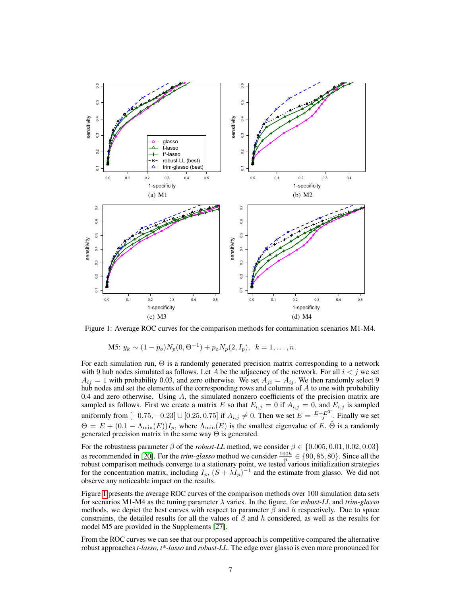

Figure 1: Average ROC curves for the comparison methods for contamination scenarios M1-M4.

M5:  $y_k \sim (1 - p_o)N_p(0, \Theta^{-1}) + p_o N_p(2, I_p), \quad k = 1, \ldots, n.$ 

For each simulation run, Θ is a randomly generated precision matrix corresponding to a network with 9 hub nodes simulated as follows. Let A be the adjacency of the network. For all  $i < j$  we set  $A_{ij} = 1$  with probability 0.03, and zero otherwise. We set  $A_{ji} = A_{ij}$ . We then randomly select 9 hub nodes and set the elements of the corresponding rows and columns of A to one with probability 0.4 and zero otherwise. Using  $A$ , the simulated nonzero coefficients of the precision matrix are sampled as follows. First we create a matrix E so that  $E_{i,j} = 0$  if  $A_{i,j} = 0$ , and  $E_{i,j}$  is sampled uniformly from [-0.75, -0.23] ∪ [0.25, 0.75] if  $A_{i,j} \neq 0$ . Then we set  $E = \frac{E + E^T}{2}$  $\frac{E^2}{2}$ . Finally we set  $\Theta = E + (0.1 - \Lambda_{\min}(E))I_p$ , where  $\Lambda_{\min}(E)$  is the smallest eigenvalue of E.  $\Theta$  is a randomly generated precision matrix in the same way  $\Theta$  is generated.

For the robustness parameter  $\beta$  of the *robust-LL* method, we consider  $\beta \in \{0.005, 0.01, 0.02, 0.03\}$ as recommended in [20]. For the *trim-glasso* method we consider  $\frac{100h}{n} \in \{90, 85, 80\}$ . Since all the robust comparison methods converge to a stationary point, we tested various initialization strategies for the concentration matrix, including  $I_p$ ,  $(S + \lambda I_p)^{-1}$  and the estimate from glasso. We did not observe any noticeable impact on the results.

Figure 1 presents the average ROC curves of the comparison methods over 100 simulation data sets for scenarios M1-M4 as the tuning parameter λ varies. In the figure, for *robust-LL* and *trim-glasso* methods, we depict the best curves with respect to parameter  $\beta$  and h respectively. Due to space constraints, the detailed results for all the values of  $\beta$  and h considered, as well as the results for model M5 are provided in the Supplements [27].

From the ROC curves we can see that our proposed approach is competitive compared the alternative robust approaches *t-lasso*, *t\*-lasso* and *robust-LL.* The edge over glasso is even more pronounced for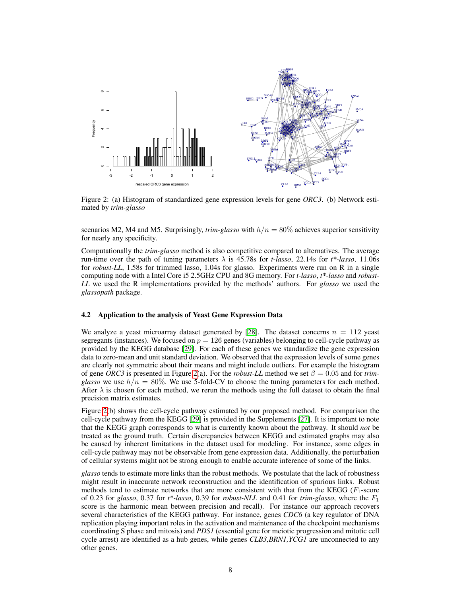

Figure 2: (a) Histogram of standardized gene expression levels for gene *ORC3*. (b) Network estimated by *trim-glasso*

scenarios M2, M4 and M5. Surprisingly,  $trim\text{-}glasso$  with  $h/n = 80\%$  achieves superior sensitivity for nearly any specificity.

Computationally the *trim-glasso* method is also competitive compared to alternatives. The average run-time over the path of tuning parameters  $\lambda$  is 45.78s for *t-lasso*, 22.14s for  $t^*$ -lasso, 11.06s for *robust-LL*, 1.58s for trimmed lasso, 1.04s for glasso. Experiments were run on R in a single computing node with a Intel Core i5 2.5GHz CPU and 8G memory. For *t-lasso*, *t\*-lasso* and *robust-LL* we used the R implementations provided by the methods' authors. For *glasso* we used the *glassopath* package.

#### 4.2 Application to the analysis of Yeast Gene Expression Data

We analyze a yeast microarray dataset generated by [28]. The dataset concerns  $n = 112$  yeast segregants (instances). We focused on  $p = 126$  genes (variables) belonging to cell-cycle pathway as provided by the KEGG database [29]. For each of these genes we standardize the gene expression data to zero-mean and unit standard deviation. We observed that the expression levels of some genes are clearly not symmetric about their means and might include outliers. For example the histogram of gene *ORC3* is presented in Figure 2(a). For the *robust-LL* method we set  $\beta = 0.05$  and for *trimglasso* we use  $h/n = 80\%$ . We use 5-fold-CV to choose the tuning parameters for each method. After  $\lambda$  is chosen for each method, we rerun the methods using the full dataset to obtain the final precision matrix estimates.

Figure 2(b) shows the cell-cycle pathway estimated by our proposed method. For comparison the cell-cycle pathway from the KEGG [29] is provided in the Supplements [27]. It is important to note that the KEGG graph corresponds to what is currently known about the pathway. It should *not* be treated as the ground truth. Certain discrepancies between KEGG and estimated graphs may also be caused by inherent limitations in the dataset used for modeling. For instance, some edges in cell-cycle pathway may not be observable from gene expression data. Additionally, the perturbation of cellular systems might not be strong enough to enable accurate inference of some of the links.

*glasso* tends to estimate more links than the robust methods. We postulate that the lack of robustness might result in inaccurate network reconstruction and the identification of spurious links. Robust methods tend to estimate networks that are more consistent with that from the KEGG  $(F_1$ -score of 0.23 for *glasso*, 0.37 for  $t^*$ -lasso, 0.39 for *robust-NLL* and 0.41 for  $t^*$ *rim-glasso*, where the  $F_1$ score is the harmonic mean between precision and recall). For instance our approach recovers several characteristics of the KEGG pathway. For instance, genes *CDC6* (a key regulator of DNA replication playing important roles in the activation and maintenance of the checkpoint mechanisms coordinating S phase and mitosis) and *PDS1* (essential gene for meiotic progression and mitotic cell cycle arrest) are identified as a hub genes, while genes *CLB3,BRN1,YCG1* are unconnected to any other genes.